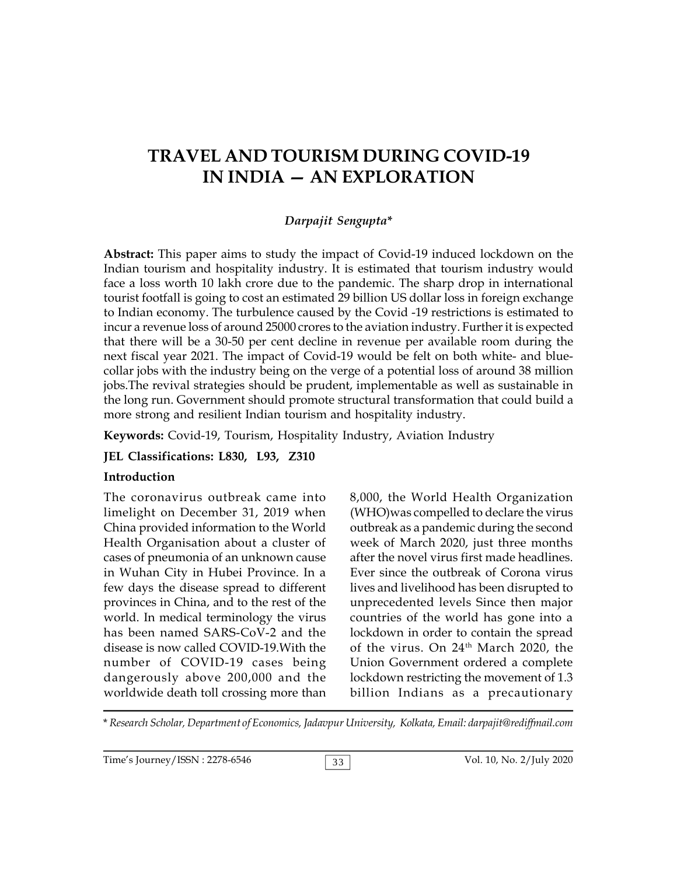# **TRAVEL AND TOURISM DURING COVID-19 IN INDIA — AN EXPLORATION**

### *Darpajit Sengupta***\***

**Abstract:** This paper aims to study the impact of Covid-19 induced lockdown on the Indian tourism and hospitality industry. It is estimated that tourism industry would face a loss worth 10 lakh crore due to the pandemic. The sharp drop in international tourist footfall is going to cost an estimated 29 billion US dollar loss in foreign exchange to Indian economy. The turbulence caused by the Covid -19 restrictions is estimated to incur a revenue loss of around 25000 crores to the aviation industry. Further it is expected that there will be a 30-50 per cent decline in revenue per available room during the next fiscal year 2021. The impact of Covid-19 would be felt on both white- and bluecollar jobs with the industry being on the verge of a potential loss of around 38 million jobs.The revival strategies should be prudent, implementable as well as sustainable in the long run. Government should promote structural transformation that could build a more strong and resilient Indian tourism and hospitality industry.

**Keywords:** Covid-19, Tourism, Hospitality Industry, Aviation Industry

#### **JEL Classifications: L830, L93, Z310**

#### **Introduction**

The coronavirus outbreak came into limelight on December 31, 2019 when China provided information to the World Health Organisation about a cluster of cases of pneumonia of an unknown cause in Wuhan City in Hubei Province. In a few days the disease spread to different provinces in China, and to the rest of the world. In medical terminology the virus has been named SARS-CoV-2 and the disease is now called COVID-19.With the number of COVID-19 cases being dangerously above 200,000 and the worldwide death toll crossing more than

8,000, the World Health Organization (WHO)was compelled to declare the virus outbreak as a pandemic during the second week of March 2020, just three months after the novel virus first made headlines. Ever since the outbreak of Corona virus lives and livelihood has been disrupted to unprecedented levels Since then major countries of the world has gone into a lockdown in order to contain the spread of the virus. On 24th March 2020, the Union Government ordered a complete lockdown restricting the movement of 1.3 billion Indians as a precautionary

\* *Research Scholar, Department of Economics, Jadavpur University, Kolkata, Email: darpajit@rediffmail.com*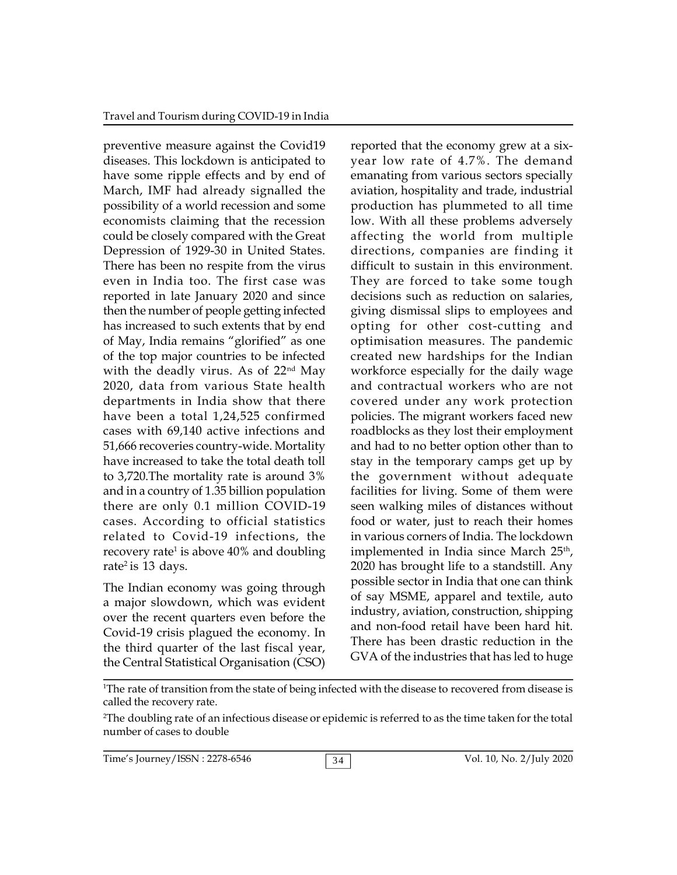preventive measure against the Covid19 diseases. This lockdown is anticipated to have some ripple effects and by end of March, IMF had already signalled the possibility of a world recession and some economists claiming that the recession could be closely compared with the Great Depression of 1929-30 in United States. There has been no respite from the virus even in India too. The first case was reported in late January 2020 and since then the number of people getting infected has increased to such extents that by end of May, India remains "glorified" as one of the top major countries to be infected with the deadly virus. As of 22<sup>nd</sup> May 2020, data from various State health departments in India show that there have been a total 1,24,525 confirmed cases with 69,140 active infections and 51,666 recoveries country-wide. Mortality have increased to take the total death toll to 3,720.The mortality rate is around 3% and in a country of 1.35 billion population there are only 0.1 million COVID-19 cases. According to official statistics related to Covid-19 infections, the recovery rate<sup>1</sup> is above 40% and doubling impl rate<sup>2</sup> is 13 days.

The Indian economy was going through a major slowdown, which was evident over the recent quarters even before the Covid-19 crisis plagued the economy. In the third quarter of the last fiscal year, the Central Statistical Organisation (CSO)

reported that the economy grew at a sixyear low rate of 4.7%. The demand emanating from various sectors specially aviation, hospitality and trade, industrial production has plummeted to all time low. With all these problems adversely affecting the world from multiple directions, companies are finding it difficult to sustain in this environment. They are forced to take some tough decisions such as reduction on salaries, giving dismissal slips to employees and opting for other cost-cutting and optimisation measures. The pandemic created new hardships for the Indian workforce especially for the daily wage and contractual workers who are not covered under any work protection policies. The migrant workers faced new roadblocks as they lost their employment and had to no better option other than to stay in the temporary camps get up by the government without adequate facilities for living. Some of them were seen walking miles of distances without food or water, just to reach their homes in various corners of India. The lockdown implemented in India since March 25<sup>th</sup>, 2020 has brought life to a standstill. Any possible sector in India that one can think of say MSME, apparel and textile, auto industry, aviation, construction, shipping and non-food retail have been hard hit. There has been drastic reduction in the GVA of the industries that has led to huge

<sup>1</sup>The rate of transition from the state of being infected with the disease to recovered from disease is called the recovery rate.

<sup>2</sup>The doubling rate of an infectious disease or epidemic is referred to as the time taken for the total number of cases to double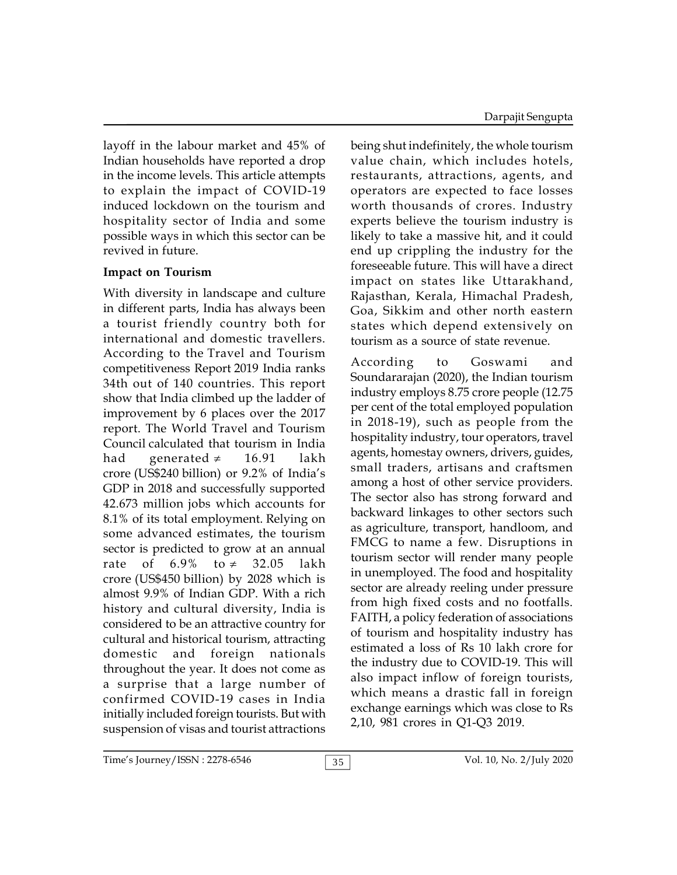layoff in the labour market and 45% of Indian households have reported a drop in the income levels. This article attempts to explain the impact of COVID-19 induced lockdown on the tourism and hospitality sector of India and some possible ways in which this sector can be revived in future.

# **Impact on Tourism**

With diversity in landscape and culture in different parts, India has always been a tourist friendly country both for international and domestic travellers. According to the Travel and Tourism competitiveness Report 2019 India ranks 34th out of 140 countries. This report show that India climbed up the ladder of improvement by 6 places over the 2017 report. The World Travel and Tourism Council calculated that tourism in India had generated  $\neq$  16.91 lakh crore (US\$240 billion) or 9.2% of India's GDP in 2018 and successfully supported 42.673 million jobs which accounts for 8.1% of its total employment. Relying on some advanced estimates, the tourism sector is predicted to grow at an annual rate of 6.9% to  $\neq$  32.05 lakh crore (US\$450 billion) by 2028 which is almost 9.9% of Indian GDP. With a rich history and cultural diversity, India is considered to be an attractive country for cultural and historical tourism, attracting domestic and foreign nationals throughout the year. It does not come as a surprise that a large number of confirmed COVID-19 cases in India initially included foreign tourists. But with suspension of visas and tourist attractions

being shut indefinitely, the whole tourism value chain, which includes hotels, restaurants, attractions, agents, and operators are expected to face losses worth thousands of crores. Industry experts believe the tourism industry is likely to take a massive hit, and it could end up crippling the industry for the foreseeable future. This will have a direct impact on states like Uttarakhand, Rajasthan, Kerala, Himachal Pradesh, Goa, Sikkim and other north eastern states which depend extensively on tourism as a source of state revenue.

According to Goswami and Soundararajan (2020), the Indian tourism industry employs 8.75 crore people (12.75 per cent of the total employed population in 2018-19), such as people from the hospitality industry, tour operators, travel agents, homestay owners, drivers, guides, small traders, artisans and craftsmen among a host of other service providers. The sector also has strong forward and backward linkages to other sectors such as agriculture, transport, handloom, and FMCG to name a few. Disruptions in tourism sector will render many people in unemployed. The food and hospitality sector are already reeling under pressure from high fixed costs and no footfalls. FAITH, a policy federation of associations of tourism and hospitality industry has estimated a loss of Rs 10 lakh crore for the industry due to COVID-19. This will also impact inflow of foreign tourists, which means a drastic fall in foreign exchange earnings which was close to Rs 2,10, 981 crores in Q1-Q3 2019.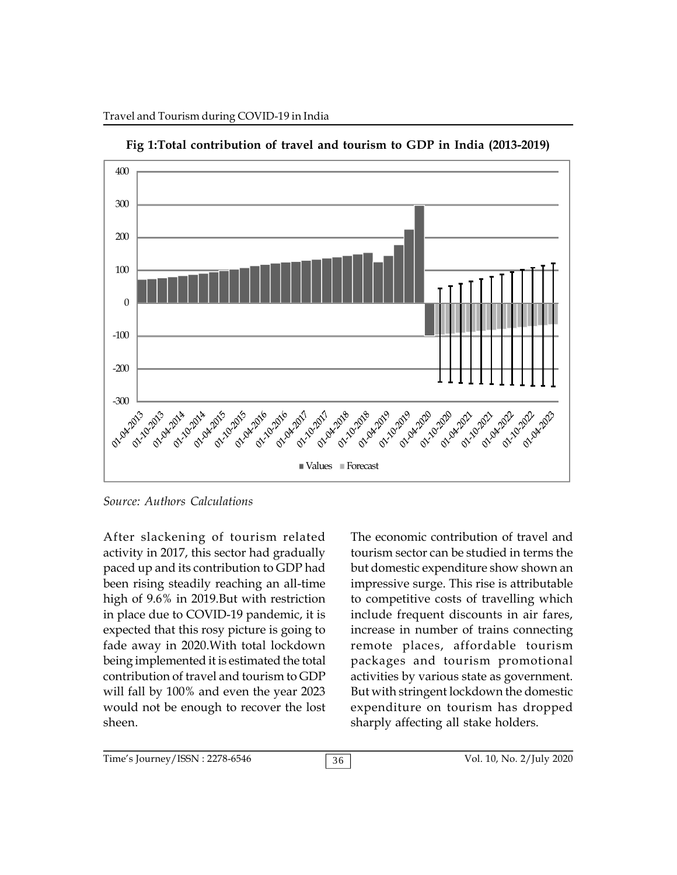

**Fig 1:Total contribution of travel and tourism to GDP in India (2013-2019)**

*Source: Authors Calculations*

After slackening of tourism related activity in 2017, this sector had gradually paced up and its contribution to GDP had been rising steadily reaching an all-time high of 9.6% in 2019.But with restriction in place due to COVID-19 pandemic, it is expected that this rosy picture is going to fade away in 2020.With total lockdown being implemented it is estimated the total contribution of travel and tourism to GDP will fall by 100% and even the year 2023 would not be enough to recover the lost sheen.

The economic contribution of travel and tourism sector can be studied in terms the but domestic expenditure show shown an impressive surge. This rise is attributable to competitive costs of travelling which include frequent discounts in air fares, increase in number of trains connecting remote places, affordable tourism packages and tourism promotional activities by various state as government. But with stringent lockdown the domestic expenditure on tourism has dropped sharply affecting all stake holders.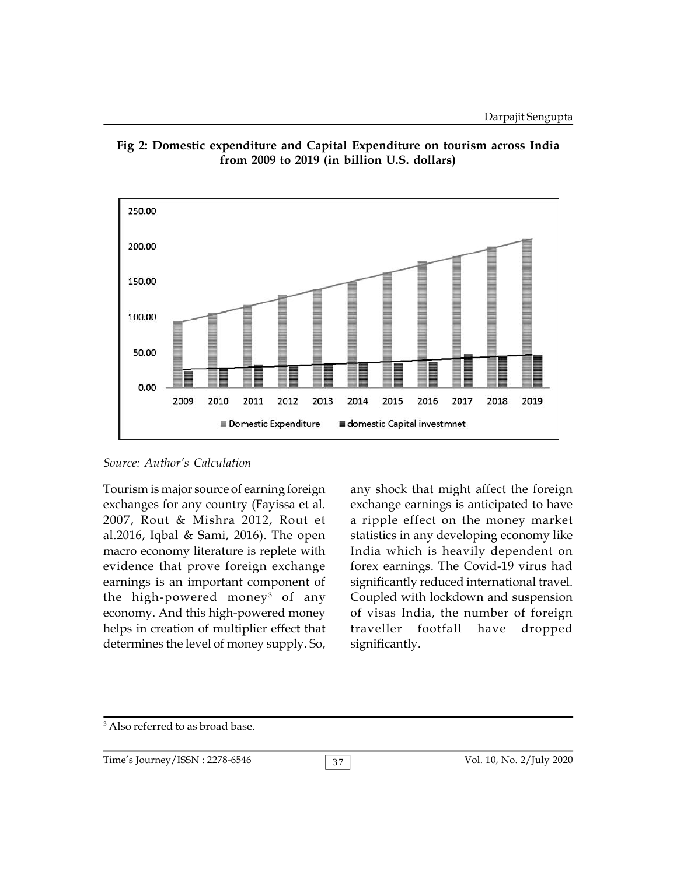



## *Source: Author's Calculation*

Tourism is major source of earning foreign exchanges for any country (Fayissa et al. 2007, Rout & Mishra 2012, Rout et al.2016, Iqbal & Sami, 2016). The open macro economy literature is replete with evidence that prove foreign exchange earnings is an important component of the high-powered money<sup>3</sup> of any Coup economy. And this high-powered money helps in creation of multiplier effect that traveller determines the level of money supply. So,

any shock that might affect the foreign exchange earnings is anticipated to have a ripple effect on the money market statistics in any developing economy like India which is heavily dependent on forex earnings. The Covid-19 virus had significantly reduced international travel. Coupled with lockdown and suspension of visas India, the number of foreign footfall have dropped significantly.

3 Also referred to as broad base.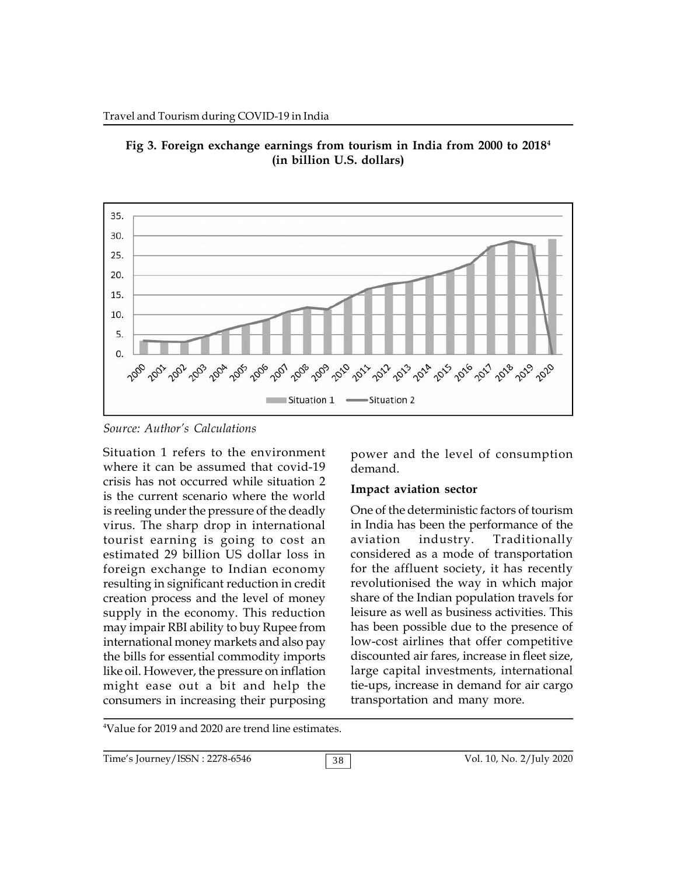



*Source: Author's Calculations*

Situation 1 refers to the environment where it can be assumed that covid-19 crisis has not occurred while situation 2 is the current scenario where the world is reeling under the pressure of the deadly virus. The sharp drop in international tourist earning is going to cost an estimated 29 billion US dollar loss in foreign exchange to Indian economy resulting in significant reduction in credit creation process and the level of money supply in the economy. This reduction may impair RBI ability to buy Rupee from international money markets and also pay the bills for essential commodity imports like oil. However, the pressure on inflation might ease out a bit and help the consumers in increasing their purposing

power and the level of consumption demand.

#### **Impact aviation sector**

One of the deterministic factors of tourism in India has been the performance of the industry. Traditionally considered as a mode of transportation for the affluent society, it has recently revolutionised the way in which major share of the Indian population travels for leisure as well as business activities. This has been possible due to the presence of low-cost airlines that offer competitive discounted air fares, increase in fleet size, large capital investments, international tie-ups, increase in demand for air cargo transportation and many more.

4Value for 2019 and 2020 are trend line estimates.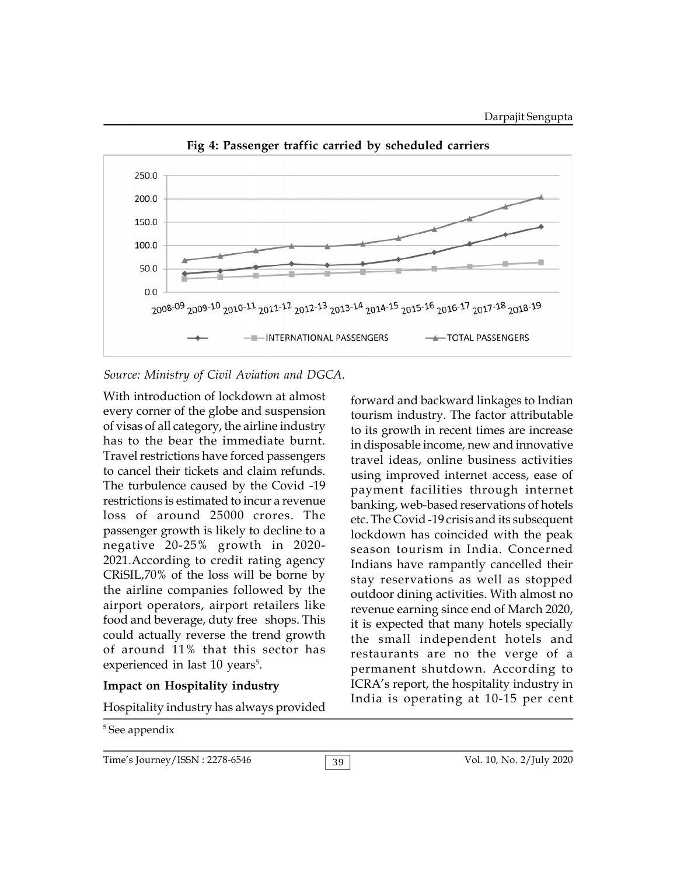

**Fig 4: Passenger traffic carried by scheduled carriers**

#### *Source: Ministry of Civil Aviation and DGCA.*

With introduction of lockdown at almost every corner of the globe and suspension of visas of all category, the airline industry has to the bear the immediate burnt. Travel restrictions have forced passengers to cancel their tickets and claim refunds. The turbulence caused by the Covid -19 restrictions is estimated to incur a revenue loss of around 25000 crores. The passenger growth is likely to decline to a negative 20-25% growth in 2020- 2021.According to credit rating agency CRiSIL,70% of the loss will be borne by the airline companies followed by the airport operators, airport retailers like food and beverage, duty free shops. This could actually reverse the trend growth of around 11% that this sector has experienced in last 10 years<sup>5</sup>.

## **Impact on Hospitality industry**

Hospitality industry has always provided

5 See appendix

forward and backward linkages to Indian tourism industry. The factor attributable to its growth in recent times are increase in disposable income, new and innovative travel ideas, online business activities using improved internet access, ease of payment facilities through internet banking, web-based reservations of hotels etc. The Covid -19 crisis and its subsequent lockdown has coincided with the peak season tourism in India. Concerned Indians have rampantly cancelled their stay reservations as well as stopped outdoor dining activities. With almost no revenue earning since end of March 2020, it is expected that many hotels specially the small independent hotels and restaurants are no the verge of a permanent shutdown. According to ICRA's report, the hospitality industry in India is operating at 10-15 per cent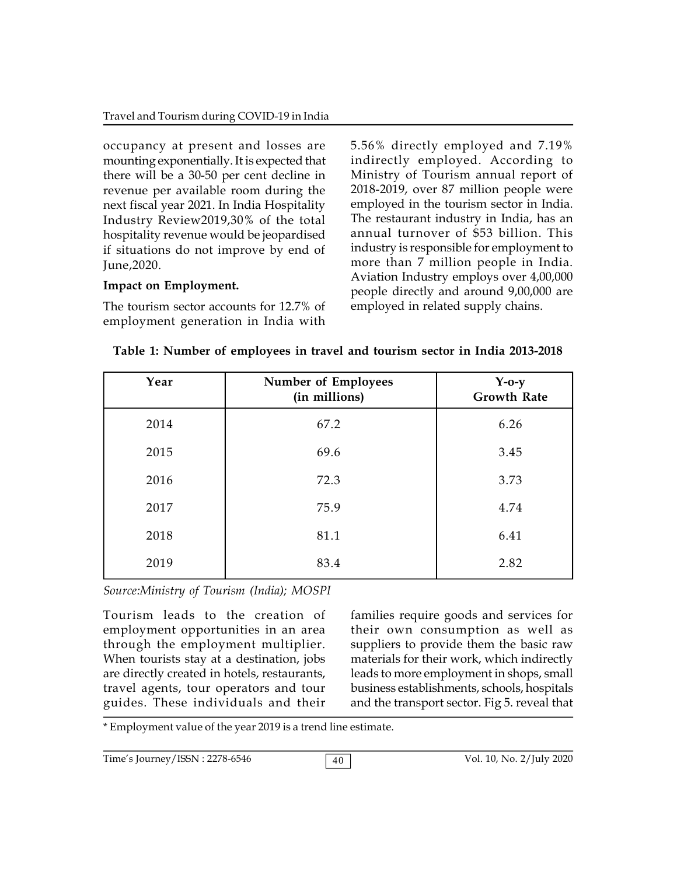occupancy at present and losses are mounting exponentially. It is expected that there will be a 30-50 per cent decline in revenue per available room during the next fiscal year 2021. In India Hospitality Industry Review2019,30% of the total hospitality revenue would be jeopardised if situations do not improve by end of June,2020.

# **Impact on Employment.**

The tourism sector accounts for 12.7% of employment generation in India with 5.56% directly employed and 7.19% indirectly employed. According to Ministry of Tourism annual report of 2018-2019, over 87 million people were employed in the tourism sector in India. The restaurant industry in India, has an annual turnover of \$53 billion. This industry is responsible for employment to more than 7 million people in India. Aviation Industry employs over 4,00,000 people directly and around 9,00,000 are employed in related supply chains.

| Year | <b>Number of Employees</b><br>(in millions) | $Y-0-y$<br><b>Growth Rate</b> |
|------|---------------------------------------------|-------------------------------|
| 2014 | 67.2                                        | 6.26                          |
| 2015 | 69.6                                        | 3.45                          |
| 2016 | 72.3                                        | 3.73                          |
| 2017 | 75.9                                        | 4.74                          |
| 2018 | 81.1                                        | 6.41                          |
| 2019 | 83.4                                        | 2.82                          |

|  |  | Table 1: Number of employees in travel and tourism sector in India 2013-2018 |  |
|--|--|------------------------------------------------------------------------------|--|
|  |  |                                                                              |  |

*Source:Ministry of Tourism (India); MOSPI*

Tourism leads to the creation of employment opportunities in an area through the employment multiplier. When tourists stay at a destination, jobs are directly created in hotels, restaurants, travel agents, tour operators and tour guides. These individuals and their

families require goods and services for their own consumption as well as suppliers to provide them the basic raw materials for their work, which indirectly leads to more employment in shops, small business establishments, schools, hospitals and the transport sector. Fig 5. reveal that

\* Employment value of the year 2019 is a trend line estimate.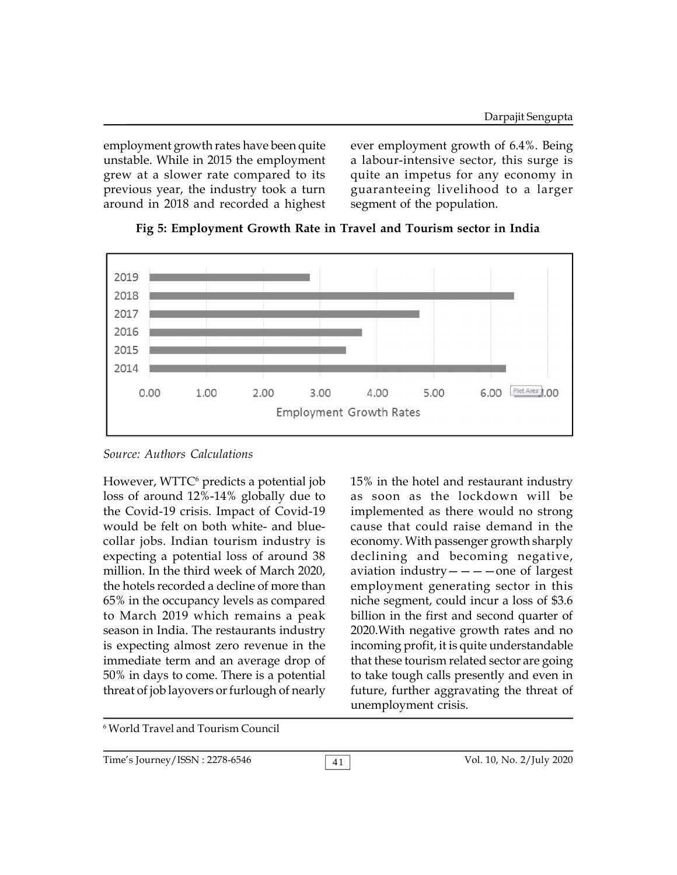employment growth rates have been quite unstable. While in 2015 the employment grew at a slower rate compared to its previous year, the industry took a turn around in 2018 and recorded a highest ever employment growth of 6.4%. Being a labour-intensive sector, this surge is quite an impetus for any economy in guaranteeing livelihood to a larger segment of the population.



**Fig 5: Employment Growth Rate in Travel and Tourism sector in India**

*Source: Authors Calculations*

However,  $WTTC^6$  predicts a potential job  $15\%$ loss of around 12%-14% globally due to the Covid-19 crisis. Impact of Covid-19 would be felt on both white- and bluecollar jobs. Indian tourism industry is expecting a potential loss of around 38 million. In the third week of March 2020, the hotels recorded a decline of more than 65% in the occupancy levels as compared to March 2019 which remains a peak season in India. The restaurants industry is expecting almost zero revenue in the immediate term and an average drop of 50% in days to come. There is a potential threat of job layovers or furlough of nearly

15% in the hotel and restaurant industry as soon as the lockdown will be implemented as there would no strong cause that could raise demand in the economy. With passenger growth sharply declining and becoming negative, aviation industry  $-\frac{1}{\pi}$  one of largest employment generating sector in this niche segment, could incur a loss of \$3.6 billion in the first and second quarter of 2020.With negative growth rates and no incoming profit, it is quite understandable that these tourism related sector are going to take tough calls presently and even in future, further aggravating the threat of unemployment crisis.

6 World Travel and Tourism Council

41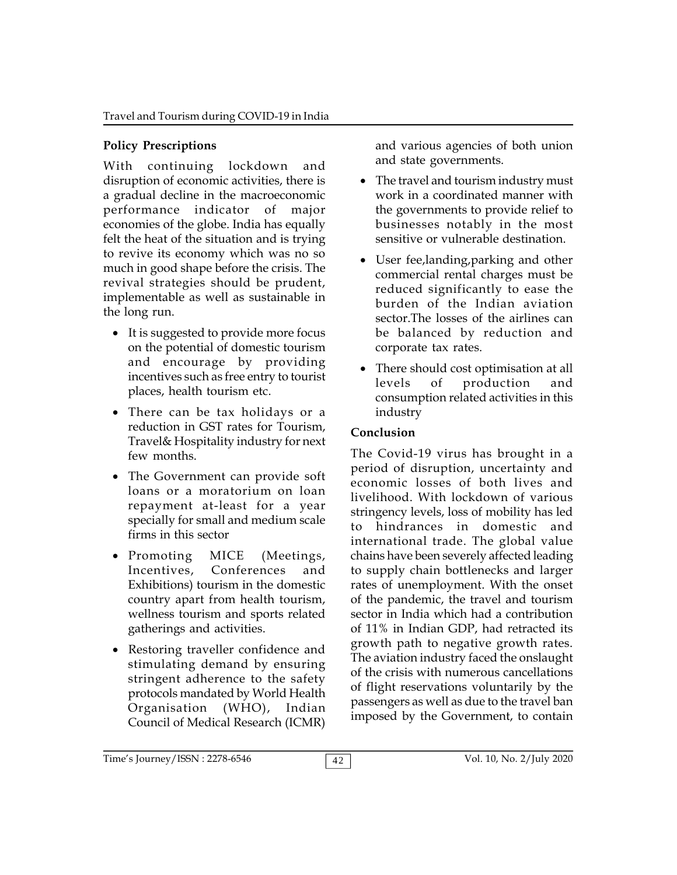# **Policy Prescriptions**

With continuing lockdown and disruption of economic activities, there is a gradual decline in the macroeconomic performance indicator of major economies of the globe. India has equally felt the heat of the situation and is trying to revive its economy which was no so much in good shape before the crisis. The revival strategies should be prudent, implementable as well as sustainable in the long run.

- It is suggested to provide more focus on the potential of domestic tourism and encourage by providing incentives such as free entry to tourist places, health tourism etc.
- There can be tax holidays or a reduction in GST rates for Tourism, Travel& Hospitality industry for next few months.
- The Government can provide soft loans or a moratorium on loan repayment at-least for a year specially for small and medium scale  $\frac{541}{10}$ firms in this sector
- Promoting MICE (Meetings, Incentives, Conferences and Exhibitions) tourism in the domestic country apart from health tourism, wellness tourism and sports related gatherings and activities.
- Restoring traveller confidence and stimulating demand by ensuring stringent adherence to the safety protocols mandated by World Health Organisation (WHO), Indian Council of Medical Research (ICMR)

and various agencies of both union and state governments.

- The travel and tourism industry must work in a coordinated manner with the governments to provide relief to businesses notably in the most sensitive or vulnerable destination.
- User fee,landing,parking and other commercial rental charges must be reduced significantly to ease the burden of the Indian aviation sector.The losses of the airlines can be balanced by reduction and corporate tax rates.
- There should cost optimisation at all levels of production and consumption related activities in this industry

# **Conclusion**

The Covid-19 virus has brought in a period of disruption, uncertainty and economic losses of both lives and livelihood. With lockdown of various stringency levels, loss of mobility has led hindrances in domestic and international trade. The global value chains have been severely affected leading to supply chain bottlenecks and larger rates of unemployment. With the onset of the pandemic, the travel and tourism sector in India which had a contribution of 11% in Indian GDP, had retracted its growth path to negative growth rates. The aviation industry faced the onslaught of the crisis with numerous cancellations of flight reservations voluntarily by the passengers as well as due to the travel ban imposed by the Government, to contain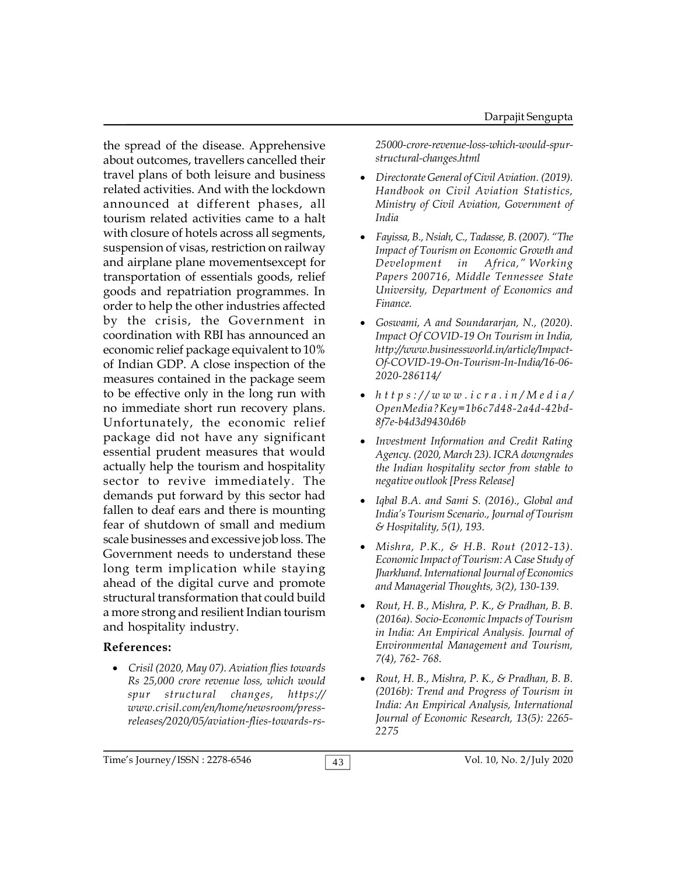the spread of the disease. Apprehensive about outcomes, travellers cancelled their travel plans of both leisure and business related activities. And with the lockdown announced at different phases, all tourism related activities came to a halt with closure of hotels across all segments, suspension of visas, restriction on railway and airplane plane movementsexcept for transportation of essentials goods, relief goods and repatriation programmes. In order to help the other industries affected by the crisis, the Government in coordination with RBI has announced an economic relief package equivalent to 10% of Indian GDP. A close inspection of the measures contained in the package seem to be effective only in the long run with  $\bullet$  https://www.icra.in/Media/ no immediate short run recovery plans. Unfortunately, the economic relief package did not have any significant essential prudent measures that would actually help the tourism and hospitality sector to revive immediately. The demands put forward by this sector had fallen to deaf ears and there is mounting fear of shutdown of small and medium scale businesses and excessive job loss. The Government needs to understand these long term implication while staying ahead of the digital curve and promote structural transformation that could build a more strong and resilient Indian tourism and hospitality industry.

## **References:**

 *Crisil (2020, May 07). Aviation flies towards Rs 25,000 crore revenue loss, which would spur structural changes, https:// www.crisil.com/en/home/newsroom/pressreleases/2020/05/aviation-flies-towards-rs-*

*25000-crore-revenue-loss-which-would-spurstructural-changes.html*

- *Directorate General of Civil Aviation. (2019). Handbook on Civil Aviation Statistics, Ministry of Civil Aviation, Government of India*
- *Fayissa, B., Nsiah, C., Tadasse, B. (2007). "The Impact of Tourism on Economic Growth and Development in Africa," Working Papers 200716, Middle Tennessee State University, Department of Economics and Finance.*
- *Goswami, A and Soundararjan, N., (2020). Impact Of COVID-19 On Tourism in India, http://www.businessworld.in/article/Impact-Of-COVID-19-On-Tourism-In-India/16-06- 2020-286114/ lmpact Of COVID-19 On Tourism in India,<br>
http://www.businessworld.in/article/Impact-<br>
Of-COVID-19-On-Tourism-In-India/16-06-*<br>
2020-286114/<br>
• *h t t p s ://www.icra.in/Media/*<br> *OpenMedia?Key=1b6c7d48-2a4d-42bd-*
- *OpenMedia?Key=1b6c7d48-2a4d-42bd-8f7e-b4d3d9430d6b*
- *Investment Information and Credit Rating Agency. (2020, March 23). ICRA downgrades the Indian hospitality sector from stable to negative outlook [Press Release]*
- *Iqbal B.A. and Sami S. (2016)., Global and India's Tourism Scenario., Journal of Tourism & Hospitality, 5(1), 193.*
- *Mishra, P.K., & H.B. Rout (2012-13). Economic Impact of Tourism: A Case Study of Jharkhand. International Journal of Economics and Managerial Thoughts, 3(2), 130-139.*
- *Rout, H. B., Mishra, P. K., & Pradhan, B. B. (2016a). Socio-Economic Impacts of Tourism in India: An Empirical Analysis. Journal of Environmental Management and Tourism, 7(4), 762- 768.*
- *Rout, H. B., Mishra, P. K., & Pradhan, B. B. (2016b): Trend and Progress of Tourism in India: An Empirical Analysis, International Journal of Economic Research, 13(5): 2265- 2275*